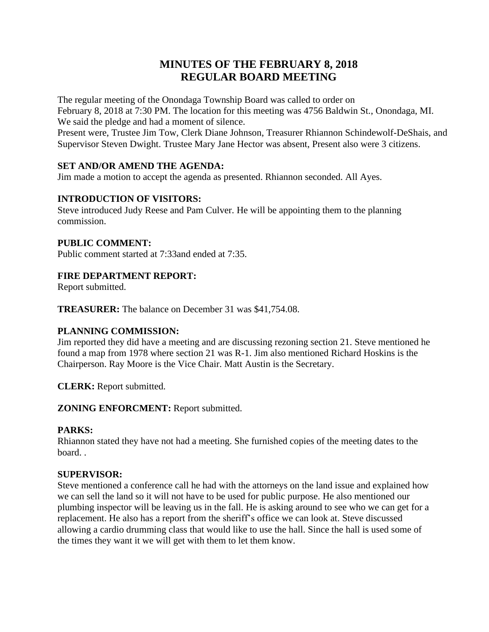# **MINUTES OF THE FEBRUARY 8, 2018 REGULAR BOARD MEETING**

The regular meeting of the Onondaga Township Board was called to order on February 8, 2018 at 7:30 PM. The location for this meeting was 4756 Baldwin St., Onondaga, MI. We said the pledge and had a moment of silence.

Present were, Trustee Jim Tow, Clerk Diane Johnson, Treasurer Rhiannon Schindewolf-DeShais, and Supervisor Steven Dwight. Trustee Mary Jane Hector was absent, Present also were 3 citizens.

# **SET AND/OR AMEND THE AGENDA:**

Jim made a motion to accept the agenda as presented. Rhiannon seconded. All Ayes.

# **INTRODUCTION OF VISITORS:**

Steve introduced Judy Reese and Pam Culver. He will be appointing them to the planning commission.

# **PUBLIC COMMENT:**

Public comment started at 7:33and ended at 7:35.

# **FIRE DEPARTMENT REPORT:**

Report submitted.

**TREASURER:** The balance on December 31 was \$41,754.08.

# **PLANNING COMMISSION:**

Jim reported they did have a meeting and are discussing rezoning section 21. Steve mentioned he found a map from 1978 where section 21 was R-1. Jim also mentioned Richard Hoskins is the Chairperson. Ray Moore is the Vice Chair. Matt Austin is the Secretary.

**CLERK:** Report submitted.

**ZONING ENFORCMENT:** Report submitted.

# **PARKS:**

Rhiannon stated they have not had a meeting. She furnished copies of the meeting dates to the board. .

# **SUPERVISOR:**

Steve mentioned a conference call he had with the attorneys on the land issue and explained how we can sell the land so it will not have to be used for public purpose. He also mentioned our plumbing inspector will be leaving us in the fall. He is asking around to see who we can get for a replacement. He also has a report from the sheriff's office we can look at. Steve discussed allowing a cardio drumming class that would like to use the hall. Since the hall is used some of the times they want it we will get with them to let them know.